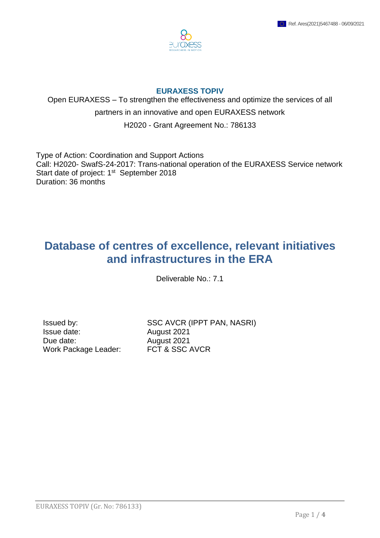

## **EURAXESS TOPIV**

Open EURAXESS – To strengthen the effectiveness and optimize the services of all partners in an innovative and open EURAXESS network

H2020 - Grant Agreement No.: 786133

Type of Action: Coordination and Support Actions Call: H2020- SwafS-24-2017: Trans-national operation of the EURAXESS Service network Start date of project: 1<sup>st</sup> September 2018 Duration: 36 months

## **Database of centres of excellence, relevant initiatives and infrastructures in the ERA**

Deliverable No.: 7.1

Issue date: August 2021 Due date:  $\frac{1}{2021}$ Work Package Leader: FCT & SSC AVCR

Issued by: SSC AVCR (IPPT PAN, NASRI)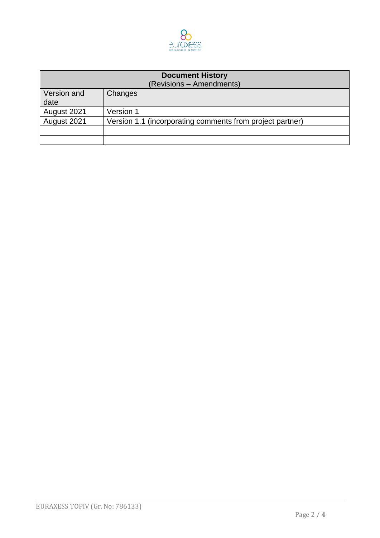

| <b>Document History</b><br>(Revisions - Amendments) |                                                           |
|-----------------------------------------------------|-----------------------------------------------------------|
| Version and<br>date                                 | Changes                                                   |
| August 2021                                         | Version 1                                                 |
| August 2021                                         | Version 1.1 (incorporating comments from project partner) |
|                                                     |                                                           |
|                                                     |                                                           |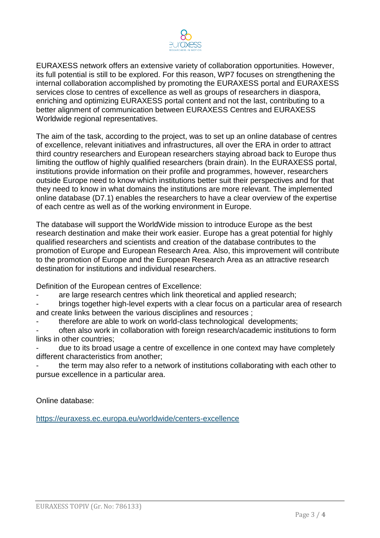

EURAXESS network offers an extensive variety of collaboration opportunities. However, its full potential is still to be explored. For this reason, WP7 focuses on strengthening the internal collaboration accomplished by promoting the EURAXESS portal and EURAXESS services close to centres of excellence as well as groups of researchers in diaspora, enriching and optimizing EURAXESS portal content and not the last, contributing to a better alignment of communication between EURAXESS Centres and EURAXESS Worldwide regional representatives.

The aim of the task, according to the project, was to set up an online database of centres of excellence, relevant initiatives and infrastructures, all over the ERA in order to attract third country researchers and European researchers staying abroad back to Europe thus limiting the outflow of highly qualified researchers (brain drain). In the EURAXESS portal, institutions provide information on their profile and programmes, however, researchers outside Europe need to know which institutions better suit their perspectives and for that they need to know in what domains the institutions are more relevant. The implemented online database (D7.1) enables the researchers to have a clear overview of the expertise of each centre as well as of the working environment in Europe.

The database will support the WorldWide mission to introduce Europe as the best research destination and make their work easier. Europe has a great potential for highly qualified researchers and scientists and creation of the database contributes to the promotion of Europe and European Research Area. Also, this improvement will contribute to the promotion of Europe and the European Research Area as an attractive research destination for institutions and individual researchers.

Definition of the European centres of Excellence:

are large research centres which link theoretical and applied research;

- brings together high-level experts with a clear focus on a particular area of research and create links between the various disciplines and resources ;

therefore are able to work on world-class technological developments;

often also work in collaboration with foreign research/academic institutions to form links in other countries;

due to its broad usage a centre of excellence in one context may have completely different characteristics from another;

the term may also refer to a network of institutions collaborating with each other to pursue excellence in a particular area.

Online database:

<https://euraxess.ec.europa.eu/worldwide/centers-excellence>